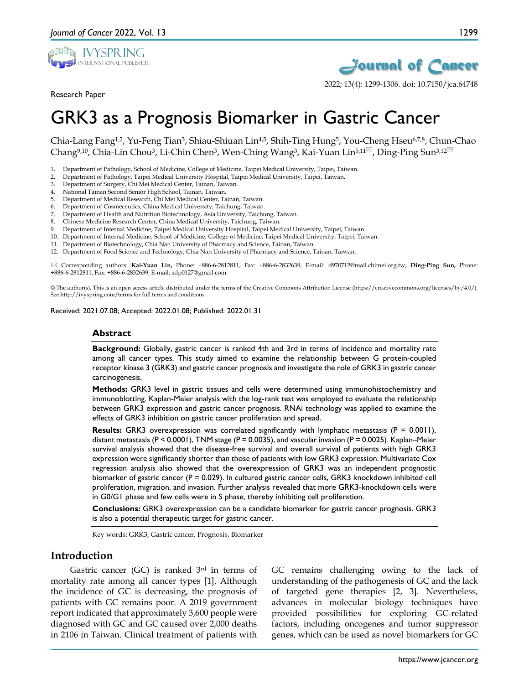

Research Paper



2022; 13(4): 1299-1306. doi: 10.7150/jca.64748

# GRK3 as a Prognosis Biomarker in Gastric Cancer

Chia-Lang Fang<sup>1,2</sup>, Yu-Feng Tian<sup>3</sup>, Shiau-Shiuan Lin<sup>4,5</sup>, Shih-Ting Hung<sup>5</sup>, You-Cheng Hseu<sup>6,7,8</sup>, Chun-Chao Chang<sup>9,10</sup>, Chia-Lin Chou<sup>3</sup>, Li-Chin Chen<sup>3</sup>, Wen-Ching Wang<sup>3</sup>, Kai-Yuan Lin<sup>5,11 $\mathbb{Z}$ , Ding-Ping Sun<sup>3,12 $\mathbb{Z}$ </sup></sup>

- 1. Department of Pathology, School of Medicine, College of Medicine, Taipei Medical University, Taipei, Taiwan.
- 2. Department of Pathology, Taipei Medical University Hospital, Taipei Medical University, Taipei, Taiwan.
- 3. Department of Surgery, Chi Mei Medical Center, Tainan, Taiwan.
- 4. National Tainan Second Senior High School, Tainan, Taiwan.
- 5. Department of Medical Research, Chi Mei Medical Center, Tainan, Taiwan.
- 6. Department of Cosmeceutics, China Medical University, Taichung, Taiwan.
- 7. Department of Health and Nutrition Biotechnology, Asia University, Taichung, Taiwan.
- 8. Chinese Medicine Research Center, China Medical University, Taichung, Taiwan.
- 9. Department of Internal Medicine, Taipei Medical University Hospital, Taipei Medical University, Taipei, Taiwan. 10. Department of Internal Medicine, School of Medicine, College of Medicine, Taipei Medical University, Taipei, Taiwan.
- 
- 11. Department of Biotechnology, Chia Nan University of Pharmacy and Science, Tainan, Taiwan.
- 12. Department of Food Science and Technology, Chia Nan University of Pharmacy and Science, Tainan, Taiwan.

 Corresponding authors: **Kai-Yuan Lin,** Phone: +886-6-2812811, Fax: +886-6-2832639, E-mail: d970712@mail.chimei.org.tw; **Ding-Ping Sun,** Phone: +886-6-2812811, Fax: +886-6-2832639, E-mail: sdp0127@gmail.com.

© The author(s). This is an open access article distributed under the terms of the Creative Commons Attribution License (https://creativecommons.org/licenses/by/4.0/). See http://ivyspring.com/terms for full terms and conditions.

Received: 2021.07.08; Accepted: 2022.01.08; Published: 2022.01.31

#### **Abstract**

**Background:** Globally, gastric cancer is ranked 4th and 3rd in terms of incidence and mortality rate among all cancer types. This study aimed to examine the relationship between G protein-coupled receptor kinase 3 (GRK3) and gastric cancer prognosis and investigate the role of GRK3 in gastric cancer carcinogenesis.

**Methods:** GRK3 level in gastric tissues and cells were determined using immunohistochemistry and immunoblotting. Kaplan-Meier analysis with the log-rank test was employed to evaluate the relationship between GRK3 expression and gastric cancer prognosis. RNAi technology was applied to examine the effects of GRK3 inhibition on gastric cancer proliferation and spread.

**Results:** GRK3 overexpression was correlated significantly with lymphatic metastasis (P = 0.0011), distant metastasis (P < 0.0001), TNM stage (P = 0.0035), and vascular invasion (P = 0.0025). Kaplan–Meier survival analysis showed that the disease-free survival and overall survival of patients with high GRK3 expression were significantly shorter than those of patients with low GRK3 expression. Multivariate Cox regression analysis also showed that the overexpression of GRK3 was an independent prognostic biomarker of gastric cancer (P = 0.029). In cultured gastric cancer cells, GRK3 knockdown inhibited cell proliferation, migration, and invasion. Further analysis revealed that more GRK3-knockdown cells were in G0/G1 phase and few cells were in S phase, thereby inhibiting cell proliferation.

**Conclusions:** GRK3 overexpression can be a candidate biomarker for gastric cancer prognosis. GRK3 is also a potential therapeutic target for gastric cancer.

Key words: GRK3, Gastric cancer, Prognosis, Biomarker

# **Introduction**

Gastric cancer (GC) is ranked 3rd in terms of mortality rate among all cancer types [1]. Although the incidence of GC is decreasing, the prognosis of patients with GC remains poor. A 2019 government report indicated that approximately 3,600 people were diagnosed with GC and GC caused over 2,000 deaths in 2106 in Taiwan. Clinical treatment of patients with

GC remains challenging owing to the lack of understanding of the pathogenesis of GC and the lack of targeted gene therapies [2, 3]. Nevertheless, advances in molecular biology techniques have provided possibilities for exploring GC-related factors, including oncogenes and tumor suppressor genes, which can be used as novel biomarkers for GC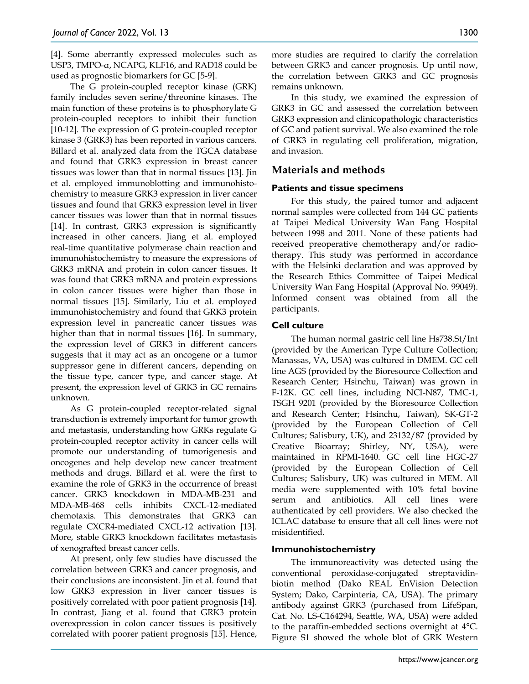[4]. Some aberrantly expressed molecules such as USP3, TMPO-α, NCAPG, KLF16, and RAD18 could be used as prognostic biomarkers for GC [5-9].

The G protein-coupled receptor kinase (GRK) family includes seven serine/threonine kinases. The main function of these proteins is to phosphorylate G protein-coupled receptors to inhibit their function [10-12]. The expression of G protein-coupled receptor kinase 3 (GRK3) has been reported in various cancers. Billard et al. analyzed data from the TGCA database and found that GRK3 expression in breast cancer tissues was lower than that in normal tissues [13]. Jin et al. employed immunoblotting and immunohistochemistry to measure GRK3 expression in liver cancer tissues and found that GRK3 expression level in liver cancer tissues was lower than that in normal tissues [14]. In contrast, GRK3 expression is significantly increased in other cancers. Jiang et al. employed real-time quantitative polymerase chain reaction and immunohistochemistry to measure the expressions of GRK3 mRNA and protein in colon cancer tissues. It was found that GRK3 mRNA and protein expressions in colon cancer tissues were higher than those in normal tissues [15]. Similarly, Liu et al. employed immunohistochemistry and found that GRK3 protein expression level in pancreatic cancer tissues was higher than that in normal tissues [16]. In summary, the expression level of GRK3 in different cancers suggests that it may act as an oncogene or a tumor suppressor gene in different cancers, depending on the tissue type, cancer type, and cancer stage. At present, the expression level of GRK3 in GC remains unknown.

As G protein-coupled receptor-related signal transduction is extremely important for tumor growth and metastasis, understanding how GRKs regulate G protein-coupled receptor activity in cancer cells will promote our understanding of tumorigenesis and oncogenes and help develop new cancer treatment methods and drugs. Billard et al. were the first to examine the role of GRK3 in the occurrence of breast cancer. GRK3 knockdown in MDA-MB-231 and MDA-MB-468 cells inhibits CXCL-12-mediated chemotaxis. This demonstrates that GRK3 can regulate CXCR4-mediated CXCL-12 activation [13]. More, stable GRK3 knockdown facilitates metastasis of xenografted breast cancer cells.

At present, only few studies have discussed the correlation between GRK3 and cancer prognosis, and their conclusions are inconsistent. Jin et al. found that low GRK3 expression in liver cancer tissues is positively correlated with poor patient prognosis [14]. In contrast, Jiang et al. found that GRK3 protein overexpression in colon cancer tissues is positively correlated with poorer patient prognosis [15]. Hence,

more studies are required to clarify the correlation between GRK3 and cancer prognosis. Up until now, the correlation between GRK3 and GC prognosis remains unknown.

In this study, we examined the expression of GRK3 in GC and assessed the correlation between GRK3 expression and clinicopathologic characteristics of GC and patient survival. We also examined the role of GRK3 in regulating cell proliferation, migration, and invasion.

# **Materials and methods**

## **Patients and tissue specimens**

For this study, the paired tumor and adjacent normal samples were collected from 144 GC patients at Taipei Medical University Wan Fang Hospital between 1998 and 2011. None of these patients had received preoperative chemotherapy and/or radiotherapy. This study was performed in accordance with the Helsinki declaration and was approved by the Research Ethics Committee of Taipei Medical University Wan Fang Hospital (Approval No. 99049). Informed consent was obtained from all the participants.

## **Cell culture**

The human normal gastric cell line Hs738.St/Int (provided by the American Type Culture Collection; Manassas, VA, USA) was cultured in DMEM. GC cell line AGS (provided by the Bioresource Collection and Research Center; Hsinchu, Taiwan) was grown in F-12K. GC cell lines, including NCI-N87, TMC-1, TSGH 9201 (provided by the Bioresource Collection and Research Center; Hsinchu, Taiwan), SK-GT-2 (provided by the European Collection of Cell Cultures; Salisbury, UK), and 23132/87 (provided by Creative Bioarray; Shirley, NY, USA), were maintained in RPMI-1640. GC cell line HGC-27 (provided by the European Collection of Cell Cultures; Salisbury, UK) was cultured in MEM. All media were supplemented with 10% fetal bovine serum and antibiotics. All cell lines were authenticated by cell providers. We also checked the ICLAC database to ensure that all cell lines were not misidentified.

#### **Immunohistochemistry**

The immunoreactivity was detected using the conventional peroxidase-conjugated streptavidinbiotin method (Dako REAL EnVision Detection System; Dako, Carpinteria, CA, USA). The primary antibody against GRK3 (purchased from LifeSpan, Cat. No. LS-C164294, Seattle, WA, USA) were added to the paraffin-embedded sections overnight at 4°C. Figure S1 showed the whole blot of GRK Western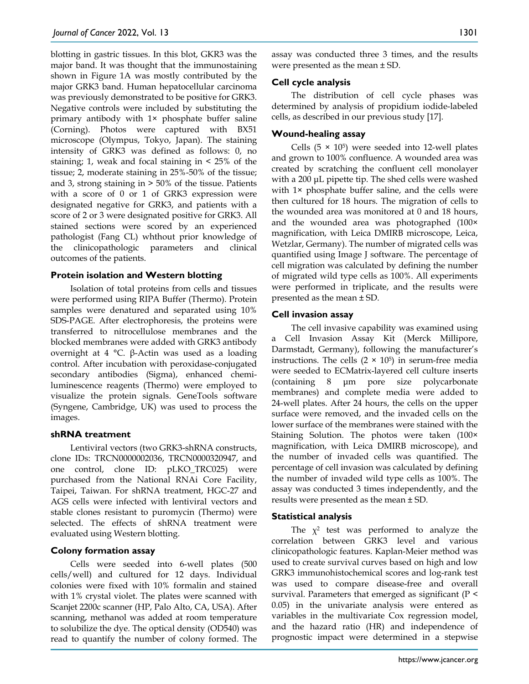blotting in gastric tissues. In this blot, GKR3 was the major band. It was thought that the immunostaining shown in Figure 1A was mostly contributed by the major GRK3 band. Human hepatocellular carcinoma was previously demonstrated to be positive for GRK3. Negative controls were included by substituting the primary antibody with 1× phosphate buffer saline (Corning). Photos were captured with BX51 microscope (Olympus, Tokyo, Japan). The staining intensity of GRK3 was defined as follows: 0, no staining; 1, weak and focal staining in < 25% of the tissue; 2, moderate staining in 25%-50% of the tissue; and 3, strong staining in > 50% of the tissue. Patients with a score of 0 or 1 of GRK3 expression were designated negative for GRK3, and patients with a score of 2 or 3 were designated positive for GRK3. All stained sections were scored by an experienced pathologist (Fang CL) whthout prior knowledge of the clinicopathologic parameters and clinical outcomes of the patients.

#### **Protein isolation and Western blotting**

Isolation of total proteins from cells and tissues were performed using RIPA Buffer (Thermo). Protein samples were denatured and separated using 10% SDS-PAGE. After electrophoresis, the proteins were transferred to nitrocellulose membranes and the blocked membranes were added with GRK3 antibody overnight at 4 °C. β-Actin was used as a loading control. After incubation with peroxidase-conjugated secondary antibodies (Sigma), enhanced chemiluminescence reagents (Thermo) were employed to visualize the protein signals. GeneTools software (Syngene, Cambridge, UK) was used to process the images.

#### **shRNA treatment**

Lentiviral vectors (two GRK3-shRNA constructs, clone IDs: TRCN0000002036, TRCN0000320947, and one control, clone ID: pLKO\_TRC025) were purchased from the National RNAi Core Facility, Taipei, Taiwan. For shRNA treatment, HGC-27 and AGS cells were infected with lentiviral vectors and stable clones resistant to puromycin (Thermo) were selected. The effects of shRNA treatment were evaluated using Western blotting.

#### **Colony formation assay**

Cells were seeded into 6-well plates (500 cells/well) and cultured for 12 days. Individual colonies were fixed with 10% formalin and stained with 1% crystal violet. The plates were scanned with Scanjet 2200c scanner (HP, Palo Alto, CA, USA). After scanning, methanol was added at room temperature to solubilize the dye. The optical density (OD540) was read to quantify the number of colony formed. The assay was conducted three 3 times, and the results were presented as the mean ± SD.

## **Cell cycle analysis**

The distribution of cell cycle phases was determined by analysis of propidium iodide-labeled cells, as described in our previous study [17].

## **Wound-healing assay**

Cells  $(5 \times 10^5)$  were seeded into 12-well plates and grown to 100% confluence. A wounded area was created by scratching the confluent cell monolayer with a 200 μL pipette tip. The shed cells were washed with 1× phosphate buffer saline, and the cells were then cultured for 18 hours. The migration of cells to the wounded area was monitored at 0 and 18 hours, and the wounded area was photographed (100× magnification, with Leica DMIRB microscope, Leica, Wetzlar, Germany). The number of migrated cells was quantified using Image J software. The percentage of cell migration was calculated by defining the number of migrated wild type cells as 100%. All experiments were performed in triplicate, and the results were presented as the mean ± SD.

## **Cell invasion assay**

The cell invasive capability was examined using a Cell Invasion Assay Kit (Merck Millipore, Darmstadt, Germany), following the manufacturer's instructions. The cells  $(2 \times 10^5)$  in serum-free media were seeded to ECMatrix-layered cell culture inserts (containing 8 μm pore size polycarbonate membranes) and complete media were added to 24-well plates. After 24 hours, the cells on the upper surface were removed, and the invaded cells on the lower surface of the membranes were stained with the Staining Solution. The photos were taken (100× magnification, with Leica DMIRB microscope), and the number of invaded cells was quantified. The percentage of cell invasion was calculated by defining the number of invaded wild type cells as 100%. The assay was conducted 3 times independently, and the results were presented as the mean ± SD.

## **Statistical analysis**

The  $\chi^2$  test was performed to analyze the correlation between GRK3 level and various clinicopathologic features. Kaplan-Meier method was used to create survival curves based on high and low GRK3 immunohistochemical scores and log-rank test was used to compare disease-free and overall survival. Parameters that emerged as significant (P < 0.05) in the univariate analysis were entered as variables in the multivariate Cox regression model, and the hazard ratio (HR) and independence of prognostic impact were determined in a stepwise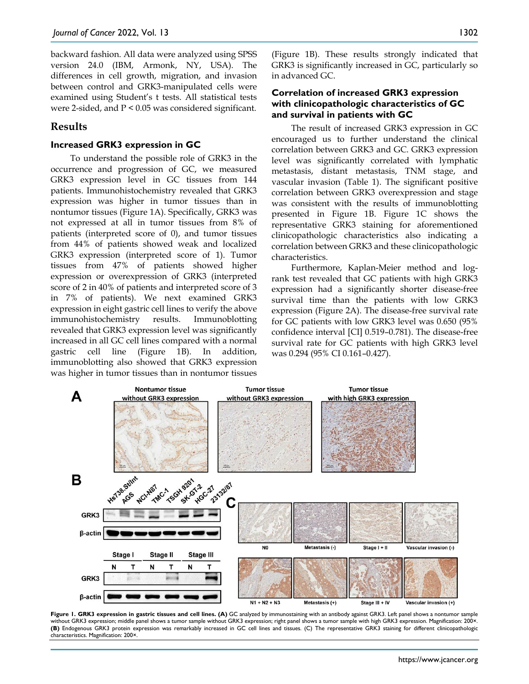backward fashion. All data were analyzed using SPSS version 24.0 (IBM, Armonk, NY, USA). The differences in cell growth, migration, and invasion between control and GRK3-manipulated cells were examined using Student's t tests. All statistical tests were 2-sided, and P < 0.05 was considered significant.

## **Results**

#### **Increased GRK3 expression in GC**

To understand the possible role of GRK3 in the occurrence and progression of GC, we measured GRK3 expression level in GC tissues from 144 patients. Immunohistochemistry revealed that GRK3 expression was higher in tumor tissues than in nontumor tissues (Figure 1A). Specifically, GRK3 was not expressed at all in tumor tissues from 8% of patients (interpreted score of 0), and tumor tissues from 44% of patients showed weak and localized GRK3 expression (interpreted score of 1). Tumor tissues from 47% of patients showed higher expression or overexpression of GRK3 (interpreted score of 2 in 40% of patients and interpreted score of 3 in 7% of patients). We next examined GRK3 expression in eight gastric cell lines to verify the above immunohistochemistry results. Immunoblotting revealed that GRK3 expression level was significantly increased in all GC cell lines compared with a normal gastric cell line (Figure 1B). In addition, immunoblotting also showed that GRK3 expression was higher in tumor tissues than in nontumor tissues

(Figure 1B). These results strongly indicated that GRK3 is significantly increased in GC, particularly so in advanced GC.

#### **Correlation of increased GRK3 expression with clinicopathologic characteristics of GC and survival in patients with GC**

The result of increased GRK3 expression in GC encouraged us to further understand the clinical correlation between GRK3 and GC. GRK3 expression level was significantly correlated with lymphatic metastasis, distant metastasis, TNM stage, and vascular invasion (Table 1). The significant positive correlation between GRK3 overexpression and stage was consistent with the results of immunoblotting presented in Figure 1B. Figure 1C shows the representative GRK3 staining for aforementioned clinicopathologic characteristics also indicating a correlation between GRK3 and these clinicopathologic characteristics.

Furthermore, Kaplan-Meier method and logrank test revealed that GC patients with high GRK3 expression had a significantly shorter disease-free survival time than the patients with low GRK3 expression (Figure 2A). The disease-free survival rate for GC patients with low GRK3 level was 0.650 (95% confidence interval [CI] 0.519–0.781). The disease-free survival rate for GC patients with high GRK3 level was 0.294 (95% CI 0.161–0.427).



Figure 1. GRK3 expression in gastric tissues and cell lines. (A) GC analyzed by immunostaining with an antibody against GRK3. Left panel shows a nontumor sample without GRK3 expression; middle panel shows a tumor sample without GRK3 expression; right panel shows a tumor sample with high GRK3 expression. Magnification: 200×. **(B)** Endogenous GRK3 protein expression was remarkably increased in GC cell lines and tissues. (C) The representative GRK3 staining for different clinicopathologic characteristics. Magnification: 200×.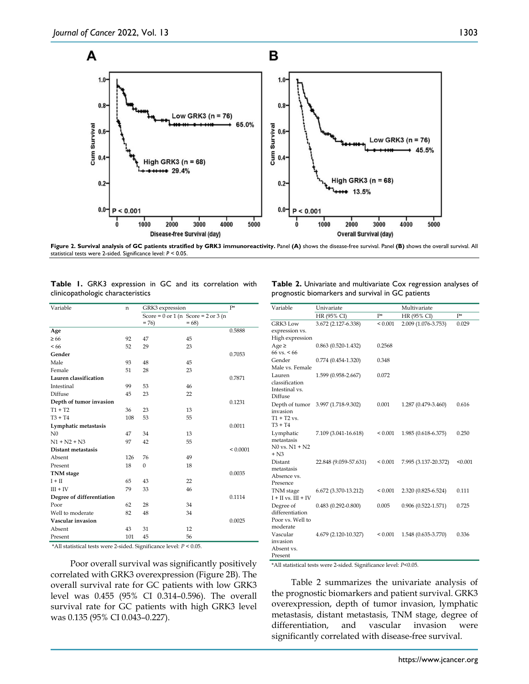

**Figure 2. Survival analysis of GC patients stratified by GRK3 immunoreactivity.** Panel **(A)** shows the disease-free survival. Panel **(B)** shows the overall survival. All statistical tests were 2-sided. Significance level: *P* < 0.05.

|                                   |  |  |  |  |  |  |  | Table 1. GRK3 expression in GC and its correlation with |  |
|-----------------------------------|--|--|--|--|--|--|--|---------------------------------------------------------|--|
| clinicopathologic characteristics |  |  |  |  |  |  |  |                                                         |  |

| Variable                  | n   |              | GRK3 expression                             |              |  |
|---------------------------|-----|--------------|---------------------------------------------|--------------|--|
|                           |     |              | Score = $0$ or $1$ (n Score = $2$ or $3$ (n |              |  |
|                           |     | $= 76$       | $= 68$                                      |              |  |
| Age                       |     |              |                                             | 0.5888       |  |
| $\geq 66$                 | 92  | 47           | 45                                          |              |  |
| < 66                      | 52  | 29           | 23                                          |              |  |
| Gender                    |     |              |                                             | 0.7053       |  |
| Male                      | 93  | 48           | 45                                          |              |  |
| Female                    | 51  | 28           | 23                                          |              |  |
| Lauren classification     |     |              |                                             | 0.7871       |  |
| Intestinal                | 99  | 53           | 46                                          |              |  |
| Diffuse                   | 45  | 23           | 22                                          |              |  |
| Depth of tumor invasion   |     |              |                                             | 0.1231       |  |
| $T1 + T2$                 | 36  | 23           | 13                                          |              |  |
| $T3 + T4$                 | 108 | 53           | 55                                          |              |  |
| Lymphatic metastasis      |     |              |                                             | 0.0011       |  |
| N <sub>0</sub>            | 47  | 34           | 13                                          |              |  |
| $N1 + N2 + N3$            | 97  | 42           | 55                                          |              |  |
| Distant metastasis        |     |              |                                             | ${}< 0.0001$ |  |
| Absent                    | 126 | 76           | 49                                          |              |  |
| Present                   | 18  | $\mathbf{0}$ | 18                                          |              |  |
| <b>TNM</b> stage          |     |              |                                             | 0.0035       |  |
| $I + II$                  | 65  | 43           | 22                                          |              |  |
| $III + IV$                | 79  | 33           | 46                                          |              |  |
| Degree of differentiation |     |              |                                             | 0.1114       |  |
| Poor                      | 62  | 28           | 34                                          |              |  |
| Well to moderate          | 82  | 48           | 34                                          |              |  |
| Vascular invasion         |     |              |                                             | 0.0025       |  |
| Absent                    | 43  | 31           | 12                                          |              |  |
| Present                   | 101 | 45           | 56                                          |              |  |

\*All statistical tests were 2-sided. Significance level: *P* < 0.05.

Poor overall survival was significantly positively correlated with GRK3 overexpression (Figure 2B). The overall survival rate for GC patients with low GRK3 level was 0.455 (95% CI 0.314–0.596). The overall survival rate for GC patients with high GRK3 level was 0.135 (95% CI 0.043–0.227).

**Table 2.** Univariate and multivariate Cox regression analyses of prognostic biomarkers and survival in GC patients

| Variable                                                     | Univariate             |              | Multivariate           |         |  |
|--------------------------------------------------------------|------------------------|--------------|------------------------|---------|--|
|                                                              | HR (95% CI)            | $P^*$        | HR (95% CI)            | $P^*$   |  |
| GRK3 Low<br>expression vs.<br>High expression                | 3.672 (2.127-6.338)    | ${}_{0.001}$ | 2.009 (1.076-3.753)    | 0.029   |  |
| $Age \geq$<br>$66 \text{ vs.} < 66$                          | $0.863(0.520-1.432)$   | 0.2568       |                        |         |  |
| Gender<br>Male vs. Female                                    | $0.774(0.454-1.320)$   | 0.348        |                        |         |  |
| Lauren<br>classification<br>Intestinal vs.<br>Diffuse        | 1.599 (0.958-2.667)    | 0.072        |                        |         |  |
| Depth of tumor<br>invasion<br>$T1 + T2$ vs.<br>$T3 + T4$     | 3.997 (1.718-9.302)    | 0.001        | 1.287 (0.479-3.460)    | 0.616   |  |
| Lymphatic<br>metastasis<br>$N0$ vs. $N1 + N2$<br>$+ N3$      | 7.109 (3.041-16.618)   | ${}_{0.001}$ | 1.985 (0.618-6.375)    | 0.250   |  |
| Distant<br>metastasis<br>Absence vs.<br>Presence             | 22.848 (9.059-57.631)  | ${}_{0.001}$ | 7.995 (3.137-20.372)   | < 0.001 |  |
| TNM stage<br>$I + II$ vs. $III + IV$                         | 6.672 (3.370-13.212)   | ${}_{0.001}$ | 2.320 (0.825-6.524)    | 0.111   |  |
| Degree of<br>differentiation<br>Poor vs. Well to<br>moderate | $0.483(0.292 - 0.800)$ | 0.005        | $0.906(0.522 - 1.571)$ | 0.725   |  |
| Vascular<br>invasion<br>Absent vs.<br>Present                | 4.679 (2.120-10.327)   | ${}_{0.001}$ | 1.548 (0.635-3.770)    | 0.336   |  |

\*All statistical tests were 2-sided. Significance level: *P*<0.05.

Table 2 summarizes the univariate analysis of the prognostic biomarkers and patient survival. GRK3 overexpression, depth of tumor invasion, lymphatic metastasis, distant metastasis, TNM stage, degree of differentiation, and vascular invasion were significantly correlated with disease-free survival.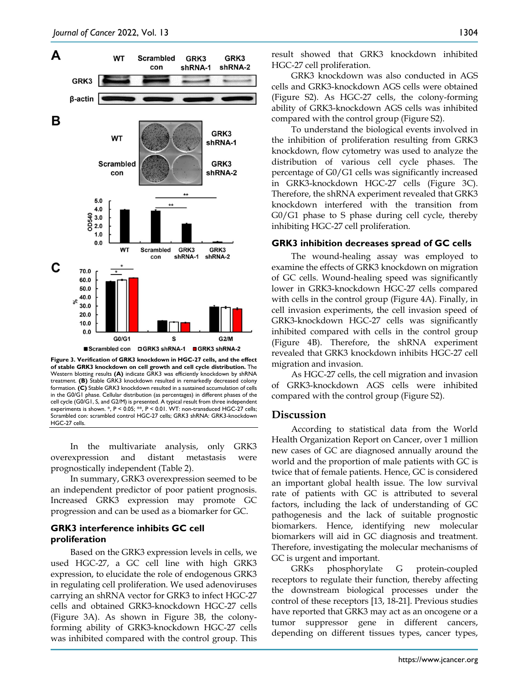

**Figure 3. Verification of GRK3 knockdown in HGC-27 cells, and the effect of stable GRK3 knockdown on cell growth and cell cycle distribution.** The Western blotting results **(A)** indicate GRK3 was efficiently knockdown by shRNA treatment. **(B)** Stable GRK3 knockdown resulted in remarkedly decreased colony formation. **(C)** Stable GRK3 knockdown resulted in a sustained accumulation of cells in the G0/G1 phase. Cellular distribution (as percentages) in different phases of the cell cycle (G0/G1, S, and G2/M) is presented. A typical result from three independent experiments is shown. \*, P < 0.05; \*\*, P < 0.01. WT: non-transduced HGC-27 cells; Scrambled con: scrambled control HGC-27 cells; GRK3 shRNA: GRK3-knockdown HGC-27 cells.

In the multivariate analysis, only GRK3 overexpression and distant metastasis were prognostically independent (Table 2).

In summary, GRK3 overexpression seemed to be an independent predictor of poor patient prognosis. Increased GRK3 expression may promote GC progression and can be used as a biomarker for GC.

## **GRK3 interference inhibits GC cell proliferation**

Based on the GRK3 expression levels in cells, we used HGC-27, a GC cell line with high GRK3 expression, to elucidate the role of endogenous GRK3 in regulating cell proliferation. We used adenoviruses carrying an shRNA vector for GRK3 to infect HGC-27 cells and obtained GRK3-knockdown HGC-27 cells (Figure 3A). As shown in Figure 3B, the colonyforming ability of GRK3-knockdown HGC-27 cells was inhibited compared with the control group. This

result showed that GRK3 knockdown inhibited HGC-27 cell proliferation.

GRK3 knockdown was also conducted in AGS cells and GRK3-knockdown AGS cells were obtained (Figure S2). As HGC-27 cells, the colony-forming ability of GRK3-knockdown AGS cells was inhibited compared with the control group (Figure S2).

To understand the biological events involved in the inhibition of proliferation resulting from GRK3 knockdown, flow cytometry was used to analyze the distribution of various cell cycle phases. The percentage of G0/G1 cells was significantly increased in GRK3-knockdown HGC-27 cells (Figure 3C). Therefore, the shRNA experiment revealed that GRK3 knockdown interfered with the transition from G0/G1 phase to S phase during cell cycle, thereby inhibiting HGC-27 cell proliferation.

#### **GRK3 inhibition decreases spread of GC cells**

The wound-healing assay was employed to examine the effects of GRK3 knockdown on migration of GC cells. Wound-healing speed was significantly lower in GRK3-knockdown HGC-27 cells compared with cells in the control group (Figure 4A). Finally, in cell invasion experiments, the cell invasion speed of GRK3-knockdown HGC-27 cells was significantly inhibited compared with cells in the control group (Figure 4B). Therefore, the shRNA experiment revealed that GRK3 knockdown inhibits HGC-27 cell migration and invasion.

As HGC-27 cells, the cell migration and invasion of GRK3-knockdown AGS cells were inhibited compared with the control group (Figure S2).

#### **Discussion**

According to statistical data from the World Health Organization Report on Cancer, over 1 million new cases of GC are diagnosed annually around the world and the proportion of male patients with GC is twice that of female patients. Hence, GC is considered an important global health issue. The low survival rate of patients with GC is attributed to several factors, including the lack of understanding of GC pathogenesis and the lack of suitable prognostic biomarkers. Hence, identifying new molecular biomarkers will aid in GC diagnosis and treatment. Therefore, investigating the molecular mechanisms of GC is urgent and important.

GRKs phosphorylate G protein-coupled receptors to regulate their function, thereby affecting the downstream biological processes under the control of these receptors [13, 18-21]. Previous studies have reported that GRK3 may act as an oncogene or a tumor suppressor gene in different cancers, depending on different tissues types, cancer types,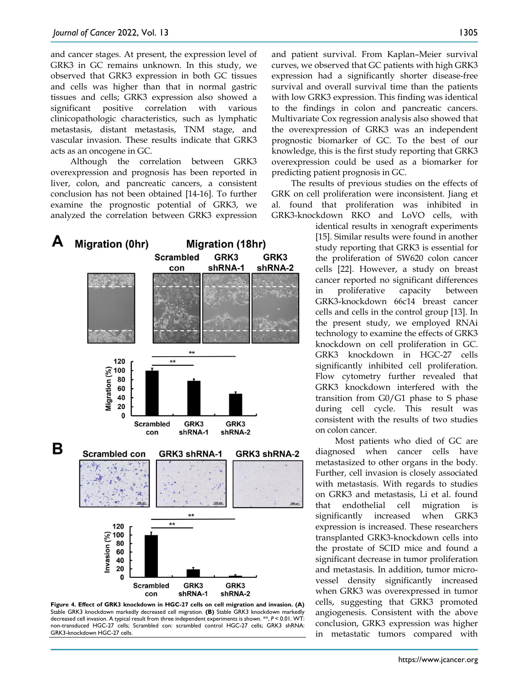and cancer stages. At present, the expression level of GRK3 in GC remains unknown. In this study, we observed that GRK3 expression in both GC tissues and cells was higher than that in normal gastric tissues and cells; GRK3 expression also showed a significant positive correlation with various clinicopathologic characteristics, such as lymphatic metastasis, distant metastasis, TNM stage, and vascular invasion. These results indicate that GRK3 acts as an oncogene in GC.

Although the correlation between GRK3 overexpression and prognosis has been reported in liver, colon, and pancreatic cancers, a consistent conclusion has not been obtained [14-16]. To further examine the prognostic potential of GRK3, we analyzed the correlation between GRK3 expression



**Figure 4. Effect of GRK3 knockdown in HGC-27 cells on cell migration and invasion. (A)**  Stable GRK3 knockdown markedly decreased cell migration. **(B)** Stable GRK3 knockdown markedly decreased cell invasion. A typical result from three independent experiments is shown. \*\*, *P* < 0.01. WT: non-transduced HGC-27 cells; Scrambled con: scrambled control HGC-27 cells; GRK3 shRNA: GRK3-knockdown HGC-27 cells.

and patient survival. From Kaplan–Meier survival curves, we observed that GC patients with high GRK3 expression had a significantly shorter disease-free survival and overall survival time than the patients with low GRK3 expression. This finding was identical to the findings in colon and pancreatic cancers. Multivariate Cox regression analysis also showed that the overexpression of GRK3 was an independent prognostic biomarker of GC. To the best of our knowledge, this is the first study reporting that GRK3 overexpression could be used as a biomarker for predicting patient prognosis in GC.

The results of previous studies on the effects of GRK on cell proliferation were inconsistent. Jiang et al. found that proliferation was inhibited in GRK3-knockdown RKO and LoVO cells, with

> identical results in xenograft experiments [15]. Similar results were found in another study reporting that GRK3 is essential for the proliferation of SW620 colon cancer cells [22]. However, a study on breast cancer reported no significant differences in proliferative capacity between GRK3-knockdown 66c14 breast cancer cells and cells in the control group [13]. In the present study, we employed RNAi technology to examine the effects of GRK3 knockdown on cell proliferation in GC. GRK3 knockdown in HGC-27 cells significantly inhibited cell proliferation. Flow cytometry further revealed that GRK3 knockdown interfered with the transition from G0/G1 phase to S phase during cell cycle. This result was consistent with the results of two studies on colon cancer.

> Most patients who died of GC are diagnosed when cancer cells have metastasized to other organs in the body. Further, cell invasion is closely associated with metastasis. With regards to studies on GRK3 and metastasis, Li et al. found that endothelial cell migration is significantly increased when GRK3 expression is increased. These researchers transplanted GRK3-knockdown cells into the prostate of SCID mice and found a significant decrease in tumor proliferation and metastasis. In addition, tumor microvessel density significantly increased when GRK3 was overexpressed in tumor cells, suggesting that GRK3 promoted angiogenesis. Consistent with the above conclusion, GRK3 expression was higher in metastatic tumors compared with